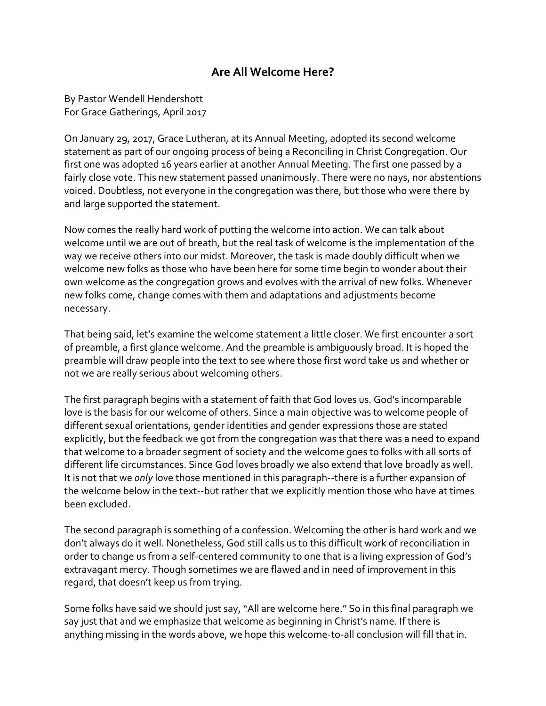## **Are All Welcome Here?**

By Pastor Wendell Hendershott For Grace Gatherings, April 2017

On January 29, 2017, Grace Lutheran, at its Annual Meeting, adopted its second welcome statement as part of our ongoing process of being a Reconciling in Christ Congregation. Our first one was adopted 16 years earlier at another Annual Meeting. The first one passed by a fairly close vote. This new statement passed unanimously. There were no nays, nor abstentions voiced. Doubtless, not everyone in the congregation was there, but those who were there by and large supported the statement.

Now comes the really hard work of putting the welcome into action. We can talk about welcome until we are out of breath, but the real task of welcome is the implementation of the way we receive others into our midst. Moreover, the task is made doubly difficult when we welcome new folks as those who have been here for some time begin to wonder about their own welcome as the congregation grows and evolves with the arrival of new folks. Whenever new folks come, change comes with them and adaptations and adjustments become necessary.

That being said, let's examine the welcome statement a little closer. We first encounter a sort of preamble, a first glance welcome. And the preamble is ambiguously broad. It is hoped the preamble will draw people into the text to see where those first word take us and whether or not we are really serious about welcoming others.

The first paragraph begins with a statement of faith that God loves us. God's incomparable love is the basis for our welcome of others. Since a main objective was to welcome people of different sexual orientations, gender identities and gender expressions those are stated explicitly, but the feedback we got from the congregation was that there was a need to expand that welcome to a broader segment of society and the welcome goes to folks with all sorts of different life circumstances. Since God loves broadly we also extend that love broadly as well. It is not that we *only* love those mentioned in this paragraph‐‐there is a further expansion of the welcome below in the text‐‐but rather that we explicitly mention those who have at times been excluded.

The second paragraph is something of a confession. Welcoming the other is hard work and we don't always do it well. Nonetheless, God still calls us to this difficult work of reconciliation in order to change us from a self‐centered community to one that is a living expression of God's extravagant mercy. Though sometimes we are flawed and in need of improvement in this regard, that doesn't keep us from trying.

Some folks have said we should just say, "All are welcome here." So in this final paragraph we say just that and we emphasize that welcome as beginning in Christ's name. If there is anything missing in the words above, we hope this welcome-to-all conclusion will fill that in.